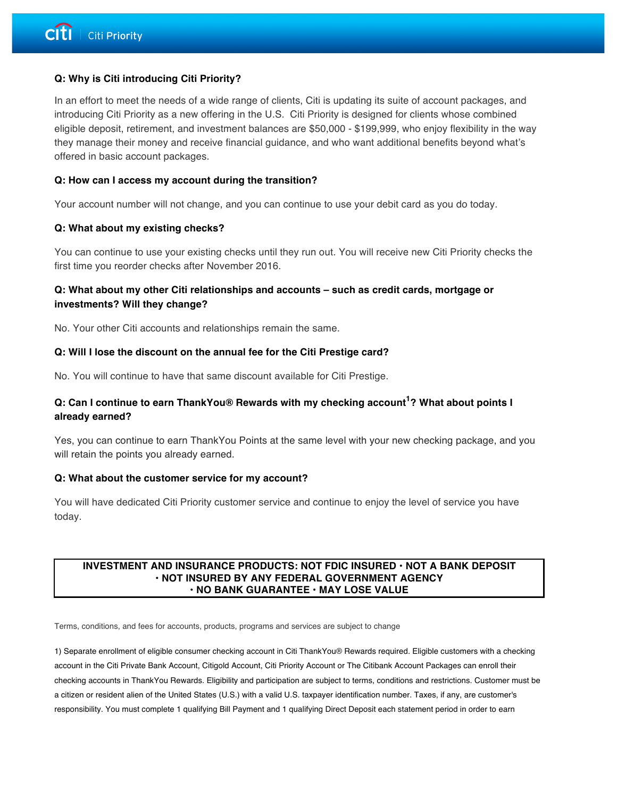## **Q: Why is Citi introducing Citi Priority?**

In an effort to meet the needs of a wide range of clients, Citi is updating its suite of account packages, and introducing Citi Priority as a new offering in the U.S. Citi Priority is designed for clients whose combined eligible deposit, retirement, and investment balances are \$50,000 - \$199,999, who enjoy flexibility in the way they manage their money and receive financial guidance, and who want additional benefits beyond what's offered in basic account packages.

### **Q: How can I access my account during the transition?**

Your account number will not change, and you can continue to use your debit card as you do today.

#### **Q: What about my existing checks?**

You can continue to use your existing checks until they run out. You will receive new Citi Priority checks the first time you reorder checks after November 2016.

# **Q: What about my other Citi relationships and accounts – such as credit cards, mortgage or investments? Will they change?**

No. Your other Citi accounts and relationships remain the same.

#### **Q: Will I lose the discount on the annual fee for the Citi Prestige card?**

No. You will continue to have that same discount available for Citi Prestige.

# **Q: Can I continue to earn ThankYou® Rewards with my checking account<sup>1</sup> ? What about points I already earned?**

Yes, you can continue to earn ThankYou Points at the same level with your new checking package, and you will retain the points you already earned.

#### **Q: What about the customer service for my account?**

You will have dedicated Citi Priority customer service and continue to enjoy the level of service you have today.

#### **INVESTMENT AND INSURANCE PRODUCTS: NOT FDIC INSURED • NOT A BANK DEPOSIT • NOT INSURED BY ANY FEDERAL GOVERNMENT AGENCY • NO BANK GUARANTEE • MAY LOSE VALUE**

Terms, conditions, and fees for accounts, products, programs and services are subject to change

1) Separate enrollment of eligible consumer checking account in Citi ThankYou® Rewards required. Eligible customers with a checking account in the Citi Private Bank Account, Citigold Account, Citi Priority Account or The Citibank Account Packages can enroll their checking accounts in ThankYou Rewards. Eligibility and participation are subject to terms, conditions and restrictions. Customer must be a citizen or resident alien of the United States (U.S.) with a valid U.S. taxpayer identification number. Taxes, if any, are customer's responsibility. You must complete 1 qualifying Bill Payment and 1 qualifying Direct Deposit each statement period in order to earn